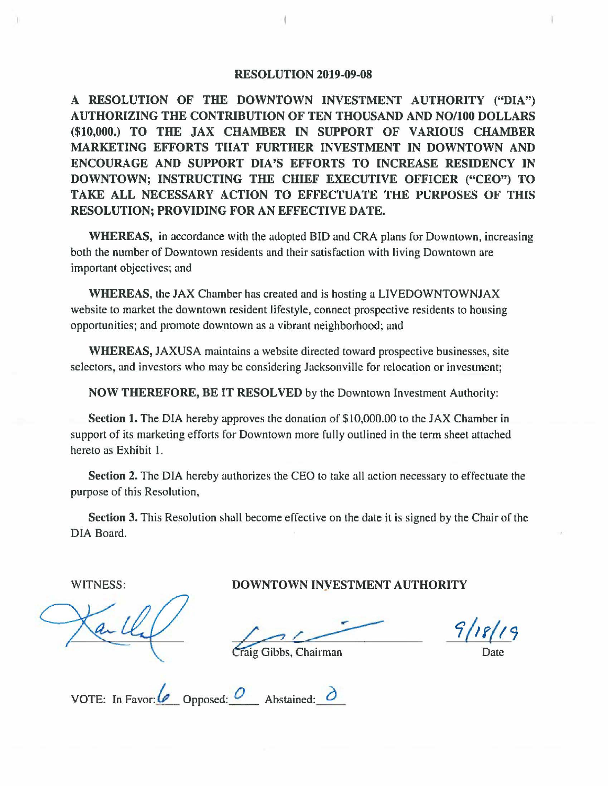## **RESOLUTION 2019-09-08**

**A RESOLUTION OF THE DOWNTOWN INVESTMENT AUTHORITY ("DIA") AUTHORIZING THE CONTRIBUTION OF TEN THOUSAND AND NO/100 DOLLARS (\$10,000.) TO THE JAX CHAMBER IN SUPPORT OF VARIOUS CHAMBER MARKETING EFFORTS THAT FURTHER INVESTMENT IN DOWNTOWN AND ENCOURAGE AND SUPPORT DIA'S EFFORTS TO INCREASE RESIDENCY IN DOWNTOWN; INSTRUCTING THE CHIEF EXECUTIVE OFFICER ("CEO") TO TAKE ALL NECESSARY ACTION TO EFFECTUATE THE PURPOSES OF THIS RESOLUTION; PROVIDING FOR AN EFFECTIVE DATE.** 

**WHEREAS,** in accordance with the adopted BID and CRA plans for Downtown, increasing both the number of Downtown residents and their satisfaction with living Downtown are important objectives; and

**WHEREAS,** the JAX Chamber has created and is hosting a LIVEDOWNTOWNJAX website to market the downtown resident lifestyle, connect prospective residents to housing opportunities; and promote downtown as a vibrant neighborhood; and

**WHEREAS,** JAXUSA maintains a website directed toward prospective businesses, site selectors, and investors who may be considering Jacksonville for relocation or investment;

**NOW THEREFORE, BE IT RESOLVED** by the Downtown Investment Authority:

**Section 1.** The DIA hereby approves the donation of \$10,000.00 to the JAX Chamber in support of its marketing efforts for Downtown more fully outlined in the term sheet attached hereto as Exhibit I.

**Section 2.** The DIA hereby authorizes the CEO to take all action necessary to effectuate the purpose of this Resolution,

**Section 3.** This Resolution shall become effective on the date it is signed by the Chair of the DIA Board.

WITNESS: **DOWNTOWN INYESTMENT AUTHORITY** 

*1/2 r(t 9* 

ig Gibbs, Chairman

Date

VOTE: In Favor:  $\overline{\mathcal{O}}$  Opposed:  $\overline{\mathcal{O}}$  Abstained:  $\overline{\mathcal{O}}$